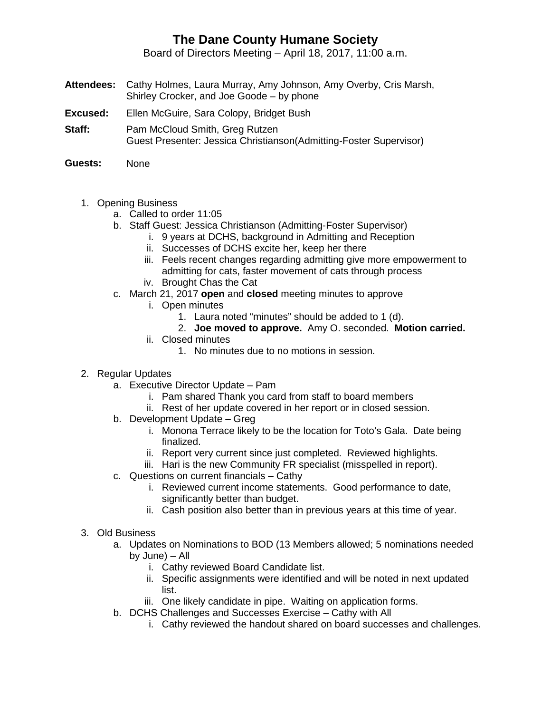## **The Dane County Humane Society**

Board of Directors Meeting – April 18, 2017, 11:00 a.m.

- **Attendees:** Cathy Holmes, Laura Murray, Amy Johnson, Amy Overby, Cris Marsh, Shirley Crocker, and Joe Goode – by phone
- **Excused:** Ellen McGuire, Sara Colopy, Bridget Bush
- **Staff:** Pam McCloud Smith, Greg Rutzen Guest Presenter: Jessica Christianson(Admitting-Foster Supervisor)
- **Guests:** None
	- 1. Opening Business
		- a. Called to order 11:05
		- b. Staff Guest: Jessica Christianson (Admitting-Foster Supervisor)
			- i. 9 years at DCHS, background in Admitting and Reception
			- ii. Successes of DCHS excite her, keep her there
			- iii. Feels recent changes regarding admitting give more empowerment to admitting for cats, faster movement of cats through process iv. Brought Chas the Cat
		- c. March 21, 2017 **open** and **closed** meeting minutes to approve
			- i. Open minutes
				- 1. Laura noted "minutes" should be added to 1 (d).
				- 2. **Joe moved to approve.** Amy O. seconded. **Motion carried.**
			- ii. Closed minutes
				- 1. No minutes due to no motions in session.
	- 2. Regular Updates
		- a. Executive Director Update Pam
			- i. Pam shared Thank you card from staff to board members
			- ii. Rest of her update covered in her report or in closed session.
		- b. Development Update Greg
			- i. Monona Terrace likely to be the location for Toto's Gala. Date being finalized.
			- ii. Report very current since just completed. Reviewed highlights.
			- iii. Hari is the new Community FR specialist (misspelled in report).
		- c. Questions on current financials Cathy
			- i. Reviewed current income statements. Good performance to date, significantly better than budget.
			- ii. Cash position also better than in previous years at this time of year.
	- 3. Old Business
		- a. Updates on Nominations to BOD (13 Members allowed; 5 nominations needed by June) – All
			- i. Cathy reviewed Board Candidate list.
			- ii. Specific assignments were identified and will be noted in next updated list.
			- iii. One likely candidate in pipe. Waiting on application forms.
		- b. DCHS Challenges and Successes Exercise Cathy with All
			- i. Cathy reviewed the handout shared on board successes and challenges.